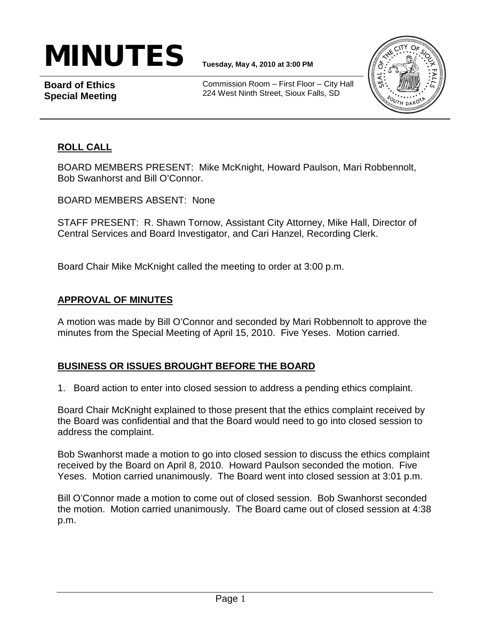# $\textbf{MINUTES}$   $\textbf{I}_{\text{Tuesday, May 4, 2010 at 3:00 PM}}$

**Board of Ethics Special Meeting**

Commission Room – First Floor – City Hall 224 West Ninth Street, Sioux Falls, SD



## **ROLL CALL**

BOARD MEMBERS PRESENT: Mike McKnight, Howard Paulson, Mari Robbennolt, Bob Swanhorst and Bill O'Connor.

BOARD MEMBERS ABSENT: None

STAFF PRESENT: R. Shawn Tornow, Assistant City Attorney, Mike Hall, Director of Central Services and Board Investigator, and Cari Hanzel, Recording Clerk.

Board Chair Mike McKnight called the meeting to order at 3:00 p.m.

### **APPROVAL OF MINUTES**

A motion was made by Bill O'Connor and seconded by Mari Robbennolt to approve the minutes from the Special Meeting of April 15, 2010. Five Yeses. Motion carried.

### **BUSINESS OR ISSUES BROUGHT BEFORE THE BOARD**

1. Board action to enter into closed session to address a pending ethics complaint.

Board Chair McKnight explained to those present that the ethics complaint received by the Board was confidential and that the Board would need to go into closed session to address the complaint.

Bob Swanhorst made a motion to go into closed session to discuss the ethics complaint received by the Board on April 8, 2010. Howard Paulson seconded the motion. Five Yeses. Motion carried unanimously. The Board went into closed session at 3:01 p.m.

Bill O'Connor made a motion to come out of closed session. Bob Swanhorst seconded the motion. Motion carried unanimously. The Board came out of closed session at 4:38 p.m.